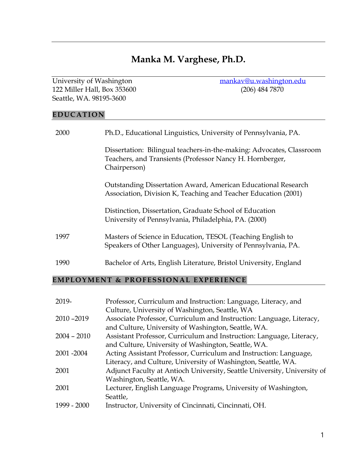# **Manka M. Varghese, Ph.D.**

122 Miller Hall, Box 353600 Seattle, WA. 98195-3600

University of Washington [mankav@u.washington.edu](mailto:mankav@u.washington.edu)<br>122 Miller Hall, Box 353600 (206) 484 7870

#### **EDUC ATI ON**

| 2000 | Ph.D., Educational Linguistics, University of Pennsylvania, PA.                                                                                  |
|------|--------------------------------------------------------------------------------------------------------------------------------------------------|
|      | Dissertation: Bilingual teachers-in-the-making: Advocates, Classroom<br>Teachers, and Transients (Professor Nancy H. Hornberger,<br>Chairperson) |
|      | Outstanding Dissertation Award, American Educational Research<br>Association, Division K, Teaching and Teacher Education (2001)                  |
|      | Distinction, Dissertation, Graduate School of Education<br>University of Pennsylvania, Philadelphia, PA. (2000)                                  |
| 1997 | Masters of Science in Education, TESOL (Teaching English to<br>Speakers of Other Languages), University of Pennsylvania, PA.                     |
| 1990 | Bachelor of Arts, English Literature, Bristol University, England                                                                                |

# **EMPLOYMENT & PROFESSIONAL EXPERIENCE**

| Professor, Curriculum and Instruction: Language, Literacy, and           |
|--------------------------------------------------------------------------|
| Culture, University of Washington, Seattle, WA                           |
| Associate Professor, Curriculum and Instruction: Language, Literacy,     |
| and Culture, University of Washington, Seattle, WA.                      |
| Assistant Professor, Curriculum and Instruction: Language, Literacy,     |
| and Culture, University of Washington, Seattle, WA.                      |
| Acting Assistant Professor, Curriculum and Instruction: Language,        |
| Literacy, and Culture, University of Washington, Seattle, WA.            |
| Adjunct Faculty at Antioch University, Seattle University, University of |
| Washington, Seattle, WA.                                                 |
| Lecturer, English Language Programs, University of Washington,           |
| Seattle,                                                                 |
| Instructor, University of Cincinnati, Cincinnati, OH.                    |
|                                                                          |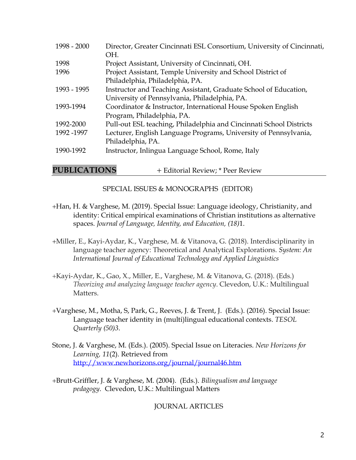| 1998 - 2000 | Director, Greater Cincinnati ESL Consortium, University of Cincinnati,<br>OH. |
|-------------|-------------------------------------------------------------------------------|
| 1998        | Project Assistant, University of Cincinnati, OH.                              |
| 1996        | Project Assistant, Temple University and School District of                   |
|             | Philadelphia, Philadelphia, PA.                                               |
| 1993 - 1995 | Instructor and Teaching Assistant, Graduate School of Education,              |
|             | University of Pennsylvania, Philadelphia, PA.                                 |
| 1993-1994   | Coordinator & Instructor, International House Spoken English                  |
|             | Program, Philadelphia, PA.                                                    |
| 1992-2000   | Pull-out ESL teaching, Philadelphia and Cincinnati School Districts           |
| 1992-1997   | Lecturer, English Language Programs, University of Pennsylvania,              |
|             | Philadelphia, PA.                                                             |
| 1990-1992   | Instructor, Inlingua Language School, Rome, Italy                             |
|             |                                                                               |

**PUBLICATIONS** + Editorial Review; \* Peer Review

SPECIAL ISSUES & MONOGRAPHS (EDITOR)

- +Han, H. & Varghese, M. (2019). Special Issue: Language ideology, Christianity, and identity: Critical empirical examinations of Christian institutions as alternative spaces. *Journal of Language, Identity, and Education, (18)*1.
- +Miller, E., Kayi-Aydar, K., Varghese, M. & Vitanova, G. (2018). Interdisciplinarity in language teacher agency: Theoretical and Analytical Explorations. *System: An International Journal of Educational Technology and Applied Linguistics*
- +Kayi-Aydar, K., Gao, X., Miller, E., Varghese, M. & Vitanova, G. (2018). (Eds.) *Theorizing and analyzing language teacher agency*. Clevedon, U.K.: Multilingual Matters.
- +Varghese, M., Motha, S, Park, G., Reeves, J. & Trent, J. (Eds.). (2016). Special Issue: Language teacher identity in (multi)lingual educational contexts. *TESOL Quarterly (50)3*.
- Stone, J. & Varghese, M. (Eds.). (2005). Special Issue on Literacies. *New Horizons for Learning, 11*(2). Retrieved from <http://www.newhorizons.org/journal/journal46.htm>

+Brutt-Griffler, J. & Varghese, M. (2004). (Eds.). *Bilingualism and language pedagogy*. Clevedon, U.K.: Multilingual Matters

JOURNAL ARTICLES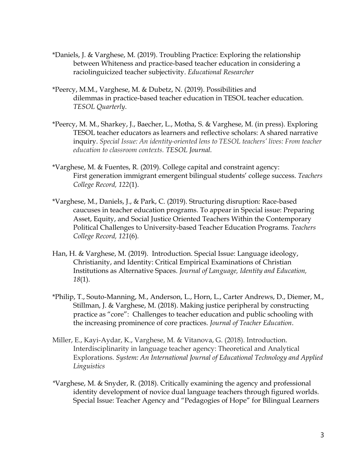- \*Daniels, J. & Varghese, M. (2019). Troubling Practice: Exploring the relationship between Whiteness and practice-based teacher education in considering a raciolinguicized teacher subjectivity. *Educational Researcher*
- \*Peercy, M.M., Varghese, M. & Dubetz, N. (2019). Possibilities and dilemmas in practice-based teacher education in TESOL teacher education. *TESOL Quarterly*.
- \*Peercy, M. M., Sharkey, J., Baecher, L., Motha, S. & Varghese, M. (in press). Exploring TESOL teacher educators as learners and reflective scholars: A shared narrative inquiry. *Special Issue: An identity-oriented lens to TESOL teachers' lives: From teacher education to classroom contexts. TESOL Journal.*
- \*Varghese, M. & Fuentes, R. (2019). College capital and constraint agency: First generation immigrant emergent bilingual students' college success. *Teachers College Record, 122*(1).
- \*Varghese, M., Daniels, J., & Park, C. (2019). Structuring disruption: Race-based caucuses in teacher education programs. To appear in Special issue: Preparing Asset, Equity, and Social Justice Oriented Teachers Within the Contemporary Political Challenges to University-based Teacher Education Programs. *Teachers College Record, 121*(6)*.*
- Han, H. & Varghese, M. (2019). Introduction. Special Issue: Language ideology, Christianity, and Identity: Critical Empirical Examinations of Christian Institutions as Alternative Spaces. *Journal of Language, Identity and Education, 18*(1).
- \*Philip, T., Souto-Manning, M., Anderson, L., Horn, L., Carter Andrews, D., Diemer, M., Stillman, J. & Varghese, M. (2018). Making justice peripheral by constructing practice as "core": Challenges to teacher education and public schooling with the increasing prominence of core practices. *Journal of Teacher Education*.
- Miller, E., Kayi-Aydar, K., Varghese, M. & Vitanova, G. (2018). Introduction. Interdisciplinarity in language teacher agency: Theoretical and Analytical Explorations. *System: An International Journal of Educational Technology and Applied Linguistics*
- *\**Varghese, M. & Snyder, R. (2018). Critically examining the agency and professional identity development of novice dual language teachers through figured worlds. Special Issue: Teacher Agency and "Pedagogies of Hope" for Bilingual Learners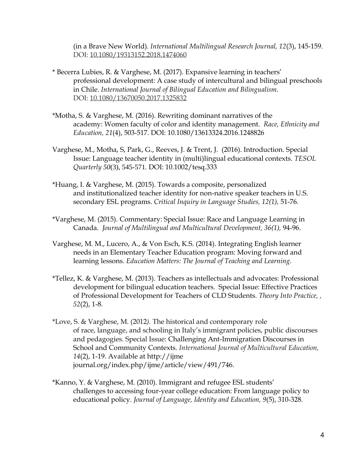(in a Brave New World)*. International Multilingual Research Journal, 12*(3), 145-159*.* DOI: [10.1080/19313152.2018.1474060](https://doi.org/10.1080/19313152.2018.1474060)

- \* Becerra Lubies, R. & Varghese, M. (2017). Expansive learning in teachers' professional development: A case study of intercultural and bilingual preschools in Chile. *International Journal of Bilingual Education and Bilingualism*. DOI: [10.1080/13670050.2017.1325832](https://doi.org/10.1080/13670050.2017.1325832)
- \*Motha, S. & Varghese, M. (2016). Rewriting dominant narratives of the academy: Women faculty of color and identity management. *Race, Ethnicity and Education, 21*(4), 503-517. DOI: 10.1080/13613324.2016.1248826
- Varghese, M., Motha, S, Park, G., Reeves, J. & Trent, J. (2016). Introduction. Special Issue: Language teacher identity in (multi)lingual educational contexts. *TESOL Quarterly 50*(3), 545-571*.* DOI: 10.1002/tesq.333
- \*Huang, I. & Varghese, M. (2015). Towards a composite, personalized and institutionalized teacher identity for non-native speaker teachers in U.S. secondary ESL programs. *Critical Inquiry in Language Studies, 12(1),* 51-76*.*
- \*Varghese, M. (2015). Commentary: Special Issue: Race and Language Learning in Canada. *Journal of Multilingual and Multicultural Development, 36(1),* 94-96.
- Varghese, M. M., Lucero, A., & Von Esch, K.S. (2014). Integrating English learner needs in an Elementary Teacher Education program: Moving forward and learning lessons. *Education Matters: The Journal of Teaching and Learning*.
- \*Tellez, K. & Varghese, M. (2013). Teachers as intellectuals and advocates: Professional development for bilingual education teachers. Special Issue: Effective Practices of Professional Development for Teachers of CLD Students*. Theory Into Practice, , 52*(2), 1-8*.*
- \*Love, S. & Varghese, M. (2012*).* The historical and contemporary role of race, language, and schooling in Italy's immigrant policies, public discourses and pedagogies. Special Issue: Challenging Ant-Immigration Discourses in School and Community Contexts*. International Journal of Multicultural Education, 14*(2), 1-19. Available at http://ijme journal.org/index.php/ijme/article/view/491/746.
- \*Kanno, Y. & Varghese, M. (2010). Immigrant and refugee ESL students' challenges to accessing four-year college education: From language policy to educational policy. *Journal of Language, Identity and Education, 9*(5), 310-328*.*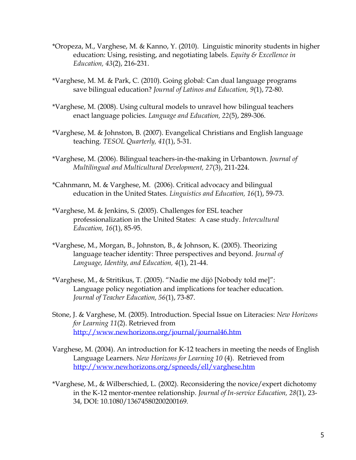- \*Oropeza, M., Varghese, M. & Kanno, Y. (2010). Linguistic minority students in higher education: Using, resisting, and negotiating labels. *Equity & Excellence in Education, 43*(2), 216-231.
- \*Varghese, M. M. & Park, C. (2010). Going global: Can dual language programs save bilingual education? *Journal of Latinos and Education, 9*(1), 72-80.
- \*Varghese, M. (2008). Using cultural models to unravel how bilingual teachers enact language policies. *Language and Education, 22*(5), 289-306.
- \*Varghese, M. & Johnston, B. (2007). Evangelical Christians and English language teaching. *TESOL Quarterly, 41*(1), 5-31.
- \*Varghese, M. (2006). Bilingual teachers-in-the-making in Urbantown. *Journal of Multilingual and Multicultural Development, 27*(3), 211-224.
- \*Cahnmann, M. & Varghese, M. (2006). Critical advocacy and bilingual education in the United States. *Linguistics and Education, 16*(1), 59-73.
- \*Varghese, M. & Jenkins, S. (2005). Challenges for ESL teacher professionalization in the United States: A case study. *Intercultural Education, 16*(1), 85-95.
- \*Varghese, M., Morgan, B., Johnston, B., & Johnson, K. (2005). Theorizing language teacher identity: Three perspectives and beyond. *Journal of Language, Identity, and Education, 4*(1), 21-44.
- \*Varghese, M., & Stritikus, T. (2005). "Nadie me dijó [Nobody told me]": Language policy negotiation and implications for teacher education. *Journal of Teacher Education, 56*(1), 73-87.
- Stone, J. & Varghese, M. (2005). Introduction. Special Issue on Literacies: *New Horizons for Learning 11*(2). Retrieved from <http://www.newhorizons.org/journal/journal46.htm>
- Varghese, M. (2004). An introduction for K-12 teachers in meeting the needs of English Language Learners. *New Horizons for Learning 10* (4). Retrieved from <http://www.newhorizons.org/spneeds/ell/varghese.htm>
- \*Varghese, M., & Wilberschied, L. (2002). Reconsidering the novice/expert dichotomy in the K-12 mentor-mentee relationship. *Journal of In-service Education, 28*(1), 23- 34, DOI: 10.1080/13674580200200169*.*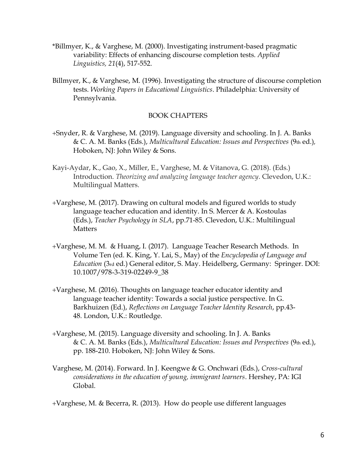- \*Billmyer, K., & Varghese, M. (2000). Investigating instrument-based pragmatic variability: Effects of enhancing discourse completion tests. *Applied Linguistics, 21*(4), 517-552.
- Billmyer, K., & Varghese, M. (1996). Investigating the structure of discourse completion tests. *Working Papers in Educational Linguistics*. Philadelphia: University of Pennsylvania.

#### BOOK CHAPTERS

- +Snyder, R. & Varghese, M. (2019). Language diversity and schooling. In J. A. Banks & C. A. M. Banks (Eds.), *Multicultural Education: Issues and Perspectives* (9th ed.)*,*  Hoboken, NJ: John Wiley & Sons.
- Kayi-Aydar, K., Gao, X., Miller, E., Varghese, M. & Vitanova, G. (2018). (Eds.) Introduction. *Theorizing and analyzing language teacher agency*. Clevedon, U.K.: Multilingual Matters.
- +Varghese, M. (2017). Drawing on cultural models and figured worlds to study language teacher education and identity. In S. Mercer & A. Kostoulas (Eds.), *Teacher Psychology in SLA*, pp.71-85. Clevedon, U.K.: Multilingual **Matters**
- +Varghese, M. M. & Huang, I. (2017). Language Teacher Research Methods. In Volume Ten (ed. K. King, Y. Lai, S., May) of the *Encyclopedia of Language and Education* (3rd ed.) General editor, S. May. Heidelberg, Germany: Springer. DOI: 10.1007/978-3-319-02249-9\_38
- +Varghese, M. (2016). Thoughts on language teacher educator identity and language teacher identity: Towards a social justice perspective. In G. Barkhuizen (Ed.), *Reflections on Language Teacher Identity Research*, pp.43- 48. London, U.K.: Routledge.
- +Varghese, M. (2015). Language diversity and schooling. In J. A. Banks & C. A. M. Banks (Eds.), *Multicultural Education: Issues and Perspectives* (9th ed.), pp. 188-210. Hoboken, NJ: John Wiley & Sons.
- Varghese, M. (2014). Forward. In J. Keengwe & G. Onchwari (Eds.), *Cross-cultural considerations in the education of young, immigrant learners*. Hershey, PA: IGI Global.

+Varghese, M. & Becerra, R. (2013). How do people use different languages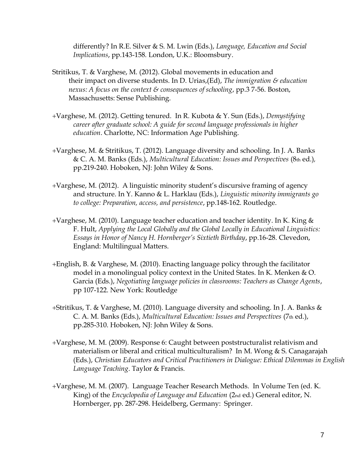differently? In R.E. Silver & S. M. Lwin (Eds.), *Language, Education and Social Implications*, pp.143-158*.* London, U.K.: Bloomsbury.

- Stritikus, T. & Varghese, M. (2012). Global movements in education and their impact on diverse students. In D. Urias,(Ed), *The immigration & education nexus: A focus on the context & consequences of schooling*, pp.3 7-56. Boston, Massachusetts: Sense Publishing.
- +Varghese, M. (2012). Getting tenured. In R. Kubota & Y. Sun (Eds.), *Demystifying career after graduate school: A guide for second language professionals in higher education*. Charlotte, NC: Information Age Publishing.
- +Varghese, M. & Stritikus, T. (2012). Language diversity and schooling. In J. A. Banks & C. A. M. Banks (Eds.), *Multicultural Education: Issues and Perspectives* (8th ed.)*,*  pp.219-240. Hoboken, NJ: John Wiley & Sons.
- +Varghese, M. (2012). A linguistic minority student's discursive framing of agency and structure. In Y. Kanno & L. Harklau (Eds.), *Linguistic minority immigrants go to college: Preparation, access, and persistence*, pp.148-162. Routledge.
- +Varghese, M. (2010). Language teacher education and teacher identity. In K. King  $\&$ F. Hult, *Applying the Local Globally and the Global Locally in Educational Linguistics: Essays in Honor of Nancy H. Hornberger's Sixtieth Birthday*, pp.16-28. Clevedon, England: Multilingual Matters.
- +English, B. & Varghese, M. (2010). Enacting language policy through the facilitator model in a monolingual policy context in the United States. In K. Menken & O. Garcia (Eds.), *Negotiating language policies in classrooms: Teachers as Change Agents*, pp 107-122. New York: Routledge
- +Stritikus, T. & Varghese, M. (2010). Language diversity and schooling. In J. A. Banks & C. A. M. Banks (Eds.), *Multicultural Education: Issues and Perspectives* (7th ed.), pp.285-310. Hoboken, NJ: John Wiley & Sons.
- +Varghese, M. M. (2009). Response 6: Caught between poststructuralist relativism and materialism or liberal and critical multiculturalism? In M. Wong & S. Canagarajah (Eds.), *Christian Educators and Critical Practitioners in Dialogue: Ethical Dilemmas in English Language Teaching*. Taylor & Francis.
- +Varghese, M. M. (2007). Language Teacher Research Methods. In Volume Ten (ed. K. King) of the *Encyclopedia of Language and Education* (2nd ed.) General editor, N. Hornberger, pp. 287-298. Heidelberg, Germany: Springer.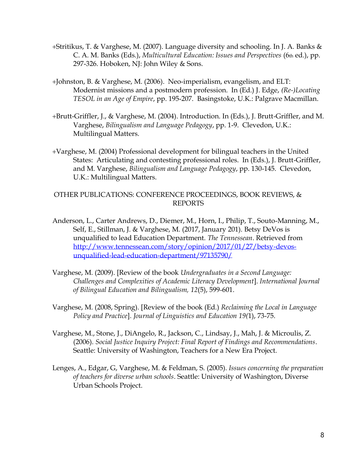- +Stritikus, T. & Varghese, M. (2007). Language diversity and schooling. In J. A. Banks & C. A. M. Banks (Eds.), *Multicultural Education: Issues and Perspectives* (6th ed.), pp. 297-326. Hoboken, NJ: John Wiley & Sons.
- +Johnston, B. & Varghese, M. (2006). Neo-imperialism, evangelism, and ELT: Modernist missions and a postmodern profession. In (Ed.) J. Edge, *(Re-)Locating TESOL in an Age of Empire*, pp. 195-207. Basingstoke, U.K.: Palgrave Macmillan.
- +Brutt-Griffler, J., & Varghese, M. (2004). Introduction. In (Eds.), J. Brutt-Griffler, and M. Varghese, *Bilingualism and Language Pedagogy*, pp. 1-9. Clevedon, U.K.: Multilingual Matters.
- +Varghese, M. (2004) Professional development for bilingual teachers in the United States: Articulating and contesting professional roles. In (Eds.), J. Brutt-Griffler, and M. Varghese, *Bilingualism and Language Pedagogy*, pp. 130-145. Clevedon, U.K.: Multilingual Matters.

#### OTHER PUBLICATIONS: CONFERENCE PROCEEDINGS, BOOK REVIEWS, & REPORTS

- Anderson, L., Carter Andrews, D., Diemer, M., Horn, I., Philip, T., Souto-Manning, M., Self, E., Stillman, J. & Varghese, M. (2017, January 201). Betsy DeVos is unqualified to lead Education Department. *The Tennessean*. Retrieved from [http://www.tennessean.com/story/opinion/2017/01/27/betsy-devos](http://www.tennessean.com/story/opinion/2017/01/27/betsy-devos-unqualified-lead-education-department/97135790/)[unqualified-lead-education-department/97135790/](http://www.tennessean.com/story/opinion/2017/01/27/betsy-devos-unqualified-lead-education-department/97135790/)
- Varghese, M. (2009). [Review of the book *Undergraduates in a Second Language: Challenges and Complexities of Academic Literacy Development*]. *International Journal of Bilingual Education and Bilingualism, 12*(5), 599-601.
- Varghese, M. (2008, Spring). [Review of the book (Ed.) *Reclaiming the Local in Language Policy and Practice*]. *Journal of Linguistics and Education 19(*1), 73-75.
- Varghese, M., Stone, J., DiAngelo, R., Jackson, C., Lindsay, J., Mah, J. & Microulis, Z. (2006). *Social Justice Inquiry Project: Final Report of Findings and Recommendations*. Seattle: University of Washington, Teachers for a New Era Project.
- Lenges, A., Edgar, G, Varghese, M. & Feldman, S. (2005). *Issues concerning the preparation of teachers for diverse urban schools*. Seattle: University of Washington, Diverse Urban Schools Project.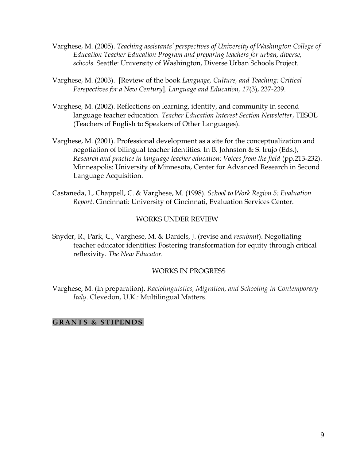- Varghese, M. (2005). *Teaching assistants' perspectives of University of Washington College of Education Teacher Education Program and preparing teachers for urban, diverse, schools*. Seattle: University of Washington, Diverse Urban Schools Project.
- Varghese, M. (2003). [Review of the book *Language, Culture, and Teaching: Critical Perspectives for a New Century*]. *Language and Education, 17*(3), 237-239.
- Varghese, M. (2002). Reflections on learning, identity, and community in second language teacher education. *Teacher Education Interest Section Newsletter*, TESOL (Teachers of English to Speakers of Other Languages).
- Varghese, M. (2001). Professional development as a site for the conceptualization and negotiation of bilingual teacher identities. In B. Johnston & S. Irujo (Eds.), *Research and practice in language teacher education: Voices from the field* (pp.213-232). Minneapolis: University of Minnesota, Center for Advanced Research in Second Language Acquisition.
- Castaneda, I., Chappell, C. & Varghese, M. (1998). *School to Work Region 5: Evaluation Report*. Cincinnati: University of Cincinnati, Evaluation Services Center.

#### WORKS UNDER REVIEW

Snyder, R., Park, C., Varghese, M. & Daniels, J. (revise and *resubmit*). Negotiating teacher educator identities: Fostering transformation for equity through critical reflexivity. *The New Educator.*

# WORKS IN PROGRESS

Varghese, M. (in preparation). *Raciolinguistics, Migration, and Schooling in Contemporary Italy*. Clevedon, U.K.: Multilingual Matters.

# GRANTS & STIPENDS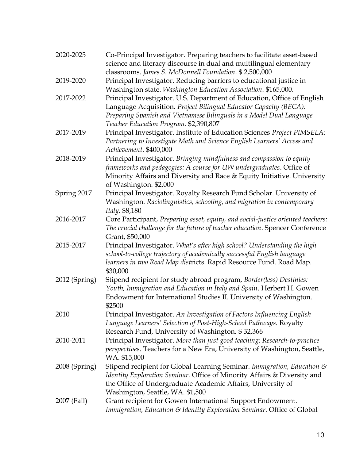| 2020-2025     | Co-Principal Investigator. Preparing teachers to facilitate asset-based<br>science and literacy discourse in dual and multilingual elementary                                                                                                                  |
|---------------|----------------------------------------------------------------------------------------------------------------------------------------------------------------------------------------------------------------------------------------------------------------|
|               | classrooms. James S. McDonnell Foundation. \$ 2,500,000                                                                                                                                                                                                        |
| 2019-2020     | Principal Investigator. Reducing barriers to educational justice in<br>Washington state. Washington Education Association. \$165,000.                                                                                                                          |
| 2017-2022     | Principal Investigator. U.S. Department of Education, Office of English<br>Language Acquisition. Project Bilingual Educator Capacity (BECA):<br>Preparing Spanish and Vietnamese Bilinguals in a Model Dual Language<br>Teacher Education Program. \$2,390,807 |
| 2017-2019     | Principal Investigator. Institute of Education Sciences Project PIMSELA:<br>Partnering to Investigate Math and Science English Learners' Access and<br>Achievement. \$400,000                                                                                  |
| 2018-2019     | Principal Investigator. Bringing mindfulness and compassion to equity<br>frameworks and pedagogies: A course for UIV undergraduates. Office of<br>Minority Affairs and Diversity and Race & Equity Initiative. University<br>of Washington. \$2,000            |
| Spring 2017   | Principal Investigator. Royalty Research Fund Scholar. University of<br>Washington. Raciolinguistics, schooling, and migration in contemporary<br>Italy. \$8,180                                                                                               |
| 2016-2017     | Core Participant, Preparing asset, equity, and social-justice oriented teachers:<br>The crucial challenge for the future of teacher education. Spencer Conference<br>Grant, \$50,000                                                                           |
| 2015-2017     | Principal Investigator. What's after high school? Understanding the high<br>school-to-college trajectory of academically successful English language<br>learners in two Road Map districts. Rapid Resource Fund. Road Map.<br>\$30,000                         |
| 2012 (Spring) | Stipend recipient for study abroad program, Border(less) Destinies:<br>Youth, Immigration and Education in Italy and Spain. Herbert H. Gowen<br>Endowment for International Studies II. University of Washington.<br>\$2500                                    |
| 2010          | Principal Investigator. An Investigation of Factors Influencing English<br>Language Learners' Selection of Post-High-School Pathways. Royalty<br>Research Fund, University of Washington. \$32,366                                                             |
| 2010-2011     | Principal Investigator. More than just good teaching: Research-to-practice<br>perspectives. Teachers for a New Era, University of Washington, Seattle,<br>WA. \$15,000                                                                                         |
| 2008 (Spring) | Stipend recipient for Global Learning Seminar. Immigration, Education &<br>Identity Exploration Seminar. Office of Minority Affairs & Diversity and<br>the Office of Undergraduate Academic Affairs, University of<br>Washington, Seattle, WA. \$1,500         |
| 2007 (Fall)   | Grant recipient for Gowen International Support Endowment.<br>Immigration, Education & Identity Exploration Seminar. Office of Global                                                                                                                          |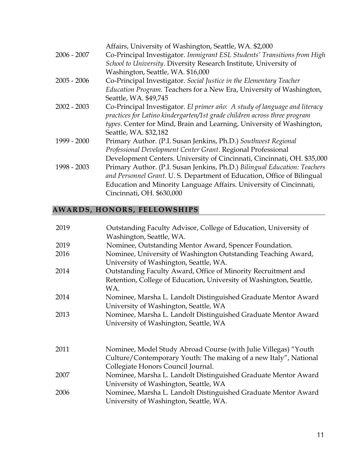| $2006 - 2007$ | Affairs, University of Washington, Seattle, WA. \$2,000<br>Co-Principal Investigator. Immigrant ESL Students' Transitions from High<br>School to University. Diversity Research Institute, University of                                                  |
|---------------|-----------------------------------------------------------------------------------------------------------------------------------------------------------------------------------------------------------------------------------------------------------|
|               | Washington, Seattle, WA. \$16,000                                                                                                                                                                                                                         |
| $2005 - 2006$ | Co-Principal Investigator. Social Justice in the Elementary Teacher<br>Education Program. Teachers for a New Era, University of Washington,<br>Seattle, WA. \$49,745                                                                                      |
| $2002 - 2003$ | Co-Principal Investigator. El primer año: A study of language and literacy<br>practices for Latino kindergarten/1st grade children across three program<br>types. Center for Mind, Brain and Learning, University of Washington,<br>Seattle, WA. \$32,182 |
| 1999 - 2000   | Primary Author. (P.I. Susan Jenkins, Ph.D.) Southwest Regional<br>Professional Development Center Grant. Regional Professional<br>Development Centers. University of Cincinnati, Cincinnati, OH. \$35,000                                                 |
| 1998 - 2003   | Primary Author. (P.I. Susan Jenkins, Ph.D.) Bilingual Education: Teachers<br>and Personnel Grant. U.S. Department of Education, Office of Bilingual<br>Education and Minority Language Affairs. University of Cincinnati,<br>Cincinnati, OH. \$630,000    |

# **AWARDS, HONORS, FELLOWSHIPS**

| 2019 | Outstanding Faculty Advisor, College of Education, University of<br>Washington, Seattle, WA.                                                                              |
|------|---------------------------------------------------------------------------------------------------------------------------------------------------------------------------|
| 2019 | Nominee, Outstanding Mentor Award, Spencer Foundation.                                                                                                                    |
| 2016 | Nominee, University of Washington Outstanding Teaching Award,<br>University of Washington, Seattle, WA.                                                                   |
| 2014 | Outstanding Faculty Award, Office of Minority Recruitment and<br>Retention, College of Education, University of Washington, Seattle,<br>WA.                               |
| 2014 | Nominee, Marsha L. Landolt Distinguished Graduate Mentor Award<br>University of Washington, Seattle, WA                                                                   |
| 2013 | Nominee, Marsha L. Landolt Distinguished Graduate Mentor Award<br>University of Washington, Seattle, WA                                                                   |
| 2011 | Nominee, Model Study Abroad Course (with Julie Villegas) "Youth<br>Culture/Contemporary Youth: The making of a new Italy", National<br>Collegiate Honors Council Journal. |
| 2007 | Nominee, Marsha L. Landolt Distinguished Graduate Mentor Award<br>University of Washington, Seattle, WA                                                                   |
| 2006 | Nominee, Marsha L. Landolt Distinguished Graduate Mentor Award<br>University of Washington, Seattle, WA.                                                                  |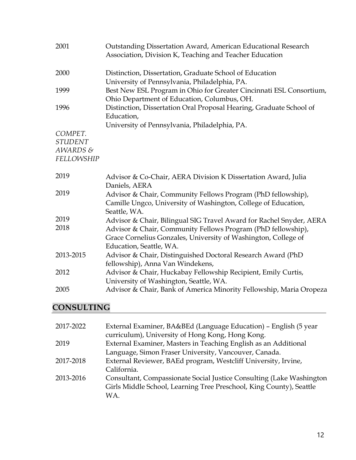| 2001              | Outstanding Dissertation Award, American Educational Research<br>Association, Division K, Teaching and Teacher Education       |
|-------------------|--------------------------------------------------------------------------------------------------------------------------------|
| 2000              | Distinction, Dissertation, Graduate School of Education<br>University of Pennsylvania, Philadelphia, PA.                       |
| 1999              | Best New ESL Program in Ohio for Greater Cincinnati ESL Consortium,<br>Ohio Department of Education, Columbus, OH.             |
| 1996              | Distinction, Dissertation Oral Proposal Hearing, Graduate School of<br>Education,                                              |
| COMPET.           | University of Pennsylvania, Philadelphia, PA.                                                                                  |
| <b>STUDENT</b>    |                                                                                                                                |
| AWARDS&           |                                                                                                                                |
| <b>FELLOWSHIP</b> |                                                                                                                                |
| 2019              | Advisor & Co-Chair, AERA Division K Dissertation Award, Julia<br>Daniels, AERA                                                 |
| 2019              | Advisor & Chair, Community Fellows Program (PhD fellowship),<br>Camille Ungco, University of Washington, College of Education, |
|                   |                                                                                                                                |
| 2019              | Seattle, WA.                                                                                                                   |
| 2018              | Advisor & Chair, Bilingual SIG Travel Award for Rachel Snyder, AERA                                                            |
|                   | Advisor & Chair, Community Fellows Program (PhD fellowship),<br>Grace Cornelius Gonzales, University of Washington, College of |
|                   | Education, Seattle, WA.                                                                                                        |
| 2013-2015         | Advisor & Chair, Distinguished Doctoral Research Award (PhD                                                                    |
|                   | fellowship), Anna Van Windekens,                                                                                               |
| 2012              | Advisor & Chair, Huckabay Fellowship Recipient, Emily Curtis,                                                                  |
| 2005              | University of Washington, Seattle, WA.<br>Advisor & Chair, Bank of America Minority Fellowship, Maria Oropeza                  |

# **CONSULTING**

| 2017-2022 | External Examiner, BA&BEd (Language Education) – English (5 year      |
|-----------|-----------------------------------------------------------------------|
|           | curriculum), University of Hong Kong, Hong Kong.                      |
| 2019      | External Examiner, Masters in Teaching English as an Additional       |
|           | Language, Simon Fraser University, Vancouver, Canada.                 |
| 2017-2018 | External Reviewer, BAEd program, Westcliff University, Irvine,        |
|           | California.                                                           |
| 2013-2016 | Consultant, Compassionate Social Justice Consulting (Lake Washington) |
|           | Girls Middle School, Learning Tree Preschool, King County), Seattle   |
|           | WA.                                                                   |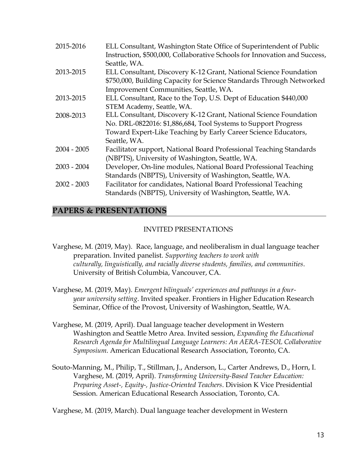| 2015-2016     | ELL Consultant, Washington State Office of Superintendent of Public<br>Instruction, \$500,000, Collaborative Schools for Innovation and Success,<br>Seattle, WA.                   |
|---------------|------------------------------------------------------------------------------------------------------------------------------------------------------------------------------------|
| 2013-2015     | ELL Consultant, Discovery K-12 Grant, National Science Foundation<br>\$750,000, Building Capacity for Science Standards Through Networked<br>Improvement Communities, Seattle, WA. |
| 2013-2015     | ELL Consultant, Race to the Top, U.S. Dept of Education \$440,000                                                                                                                  |
|               | STEM Academy, Seattle, WA.                                                                                                                                                         |
| 2008-2013     | ELL Consultant, Discovery K-12 Grant, National Science Foundation                                                                                                                  |
|               | No. DRL-0822016: \$1,886,684, Tool Systems to Support Progress                                                                                                                     |
|               | Toward Expert-Like Teaching by Early Career Science Educators,                                                                                                                     |
|               | Seattle, WA.                                                                                                                                                                       |
| $2004 - 2005$ | Facilitator support, National Board Professional Teaching Standards                                                                                                                |
|               | (NBPTS), University of Washington, Seattle, WA.                                                                                                                                    |
| $2003 - 2004$ | Developer, On-line modules, National Board Professional Teaching                                                                                                                   |
|               | Standards (NBPTS), University of Washington, Seattle, WA.                                                                                                                          |
| $2002 - 2003$ | Facilitator for candidates, National Board Professional Teaching                                                                                                                   |
|               | Standards (NBPTS), University of Washington, Seattle, WA.                                                                                                                          |

# **PAPERS & PRESENTATIONS**

#### INVITED PRESENTATIONS

- Varghese, M. (2019, May). Race, language, and neoliberalism in dual language teacher preparation. Invited panelist. *Supporting teachers to work with culturally, linguistically, and racially diverse students, families, and communities*. University of British Columbia, Vancouver, CA.
- Varghese, M. (2019, May). *Emergent bilinguals' experiences and pathways in a fouryear university setting*. Invited speaker. Frontiers in Higher Education Research Seminar, Office of the Provost, University of Washington, Seattle, WA.
- Varghese, M. (2019, April). Dual language teacher development in Western Washington and Seattle Metro Area. Invited session, *Expanding the Educational Research Agenda for Multilingual Language Learners: An AERA-TESOL Collaborative Symposium*. American Educational Research Association, Toronto, CA.
- Souto-Manning, M., Philip, T., Stillman, J., Anderson, L., Carter Andrews, D., Horn, I. Varghese, M. (2019, April). *Transforming University-Based Teacher Education: Preparing Asset-, Equity-, Justice-Oriented Teachers*. Division K Vice Presidential Session. American Educational Research Association, Toronto, CA.

Varghese, M. (2019, March). Dual language teacher development in Western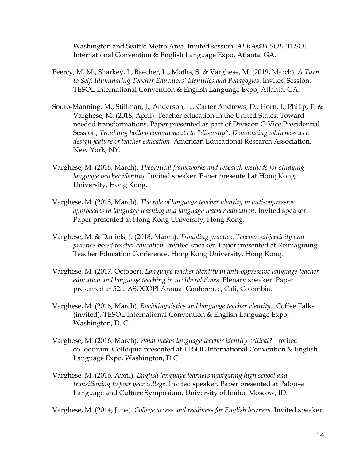Washington and Seattle Metro Area. Invited session, *AERA@TESOL*. TESOL International Convention & English Language Expo, Atlanta, GA.

- Peercy, M. M., Sharkey, J., Baecher, L., Motha, S. & Varghese, M. (2019, March). *A Turn to Self: Illuminating Teacher Educators' Identities and Pedagogies*. Invited Session. TESOL International Convention & English Language Expo, Atlanta, GA.
- Souto-Manning, M., Stillman, J., Anderson, L., Carter Andrews, D., Horn, I., Philip, T. & Varghese, M. (2018, April). Teacher education in the United States: Toward needed transformations. Paper presented as part of Division G Vice Presidential Session, *Troubling hollow commitments to "diversity": Denouncing whiteness as a design feature of teacher education*, American Educational Research Association, New York, NY.
- Varghese, M. (2018, March). *Theoretical frameworks and research methods for studying language teacher identity*. Invited speaker. Paper presented at Hong Kong University, Hong Kong.
- Varghese, M. (2018, March). *The role of language teacher identity in anti-oppressive approaches in language teaching and language teacher education*. Invited speaker. Paper presented at Hong Kong University, Hong Kong.
- Varghese, M. & Daniels, J. (2018, March). *Troubling practice: Teacher subjectivity and practice-based teacher education*. Invited speaker. Paper presented at Reimagining Teacher Education Conference, Hong Kong University, Hong Kong.
- Varghese, M. (2017, October). *Language teacher identity in anti-oppressive language teacher education and language teaching in neoliberal times*. Plenary speaker. Paper presented at 52nd ASOCOPI Annual Conference, Cali, Colombia.
- Varghese, M. (2016, March). *Raciolinguistics and language teacher identity*. Coffee Talks (invited). TESOL International Convention & English Language Expo, Washington, D. C.
- Varghese, M. (2016, March). *What makes language teacher identity critical?* Invited colloquium. Colloquia presented at TESOL International Convention & English Language Expo, Washington, D.C.
- Varghese, M. (2016, April). *English language learners navigating high school and transitioning to four year college*. Invited speaker. Paper presented at Palouse Language and Culture Symposium, University of Idaho, Moscow, ID.

Varghese, M. (2014, June). *College access and readiness for English learners*. Invited speaker.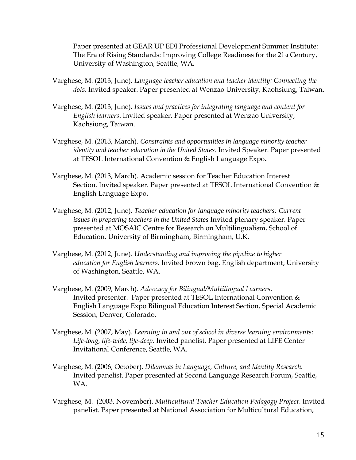Paper presented at GEAR UP EDI Professional Development Summer Institute: The Era of Rising Standards: Improving College Readiness for the 21st Century, University of Washington, Seattle, WA*.* 

- Varghese, M. (2013, June). *Language teacher education and teacher identity: Connecting the dots*. Invited speaker. Paper presented at Wenzao University, Kaohsiung, Taiwan.
- Varghese, M. (2013, June). *Issues and practices for integrating language and content for English learners*. Invited speaker. Paper presented at Wenzao University, Kaohsiung, Taiwan.
- Varghese, M. (2013, March). *Constraints and opportunities in language minority teacher identity and teacher education in the United States*. Invited Speaker. Paper presented at TESOL International Convention & English Language Expo**.**
- Varghese, M. (2013, March). Academic session for Teacher Education Interest Section. Invited speaker. Paper presented at TESOL International Convention & English Language Expo**.**
- Varghese, M. (2012, June). *Teacher education for language minority teachers: Current issues in preparing teachers in the United States* Invited plenary speaker. Paper presented at MOSAIC Centre for Research on Multilingualism, School of Education, University of Birmingham, Birmingham, U.K.
- Varghese, M. (2012, June). *Understanding and improving the pipeline to higher education for English learners*. Invited brown bag. English department, University of Washington, Seattle, WA.
- Varghese, M. (2009, March). *Advocacy for Bilingual/Multilingual Learners*. Invited presenter. Paper presented at TESOL International Convention & English Language Expo Bilingual Education Interest Section, Special Academic Session, Denver, Colorado.
- Varghese, M. (2007, May). *Learning in and out of school in diverse learning environments: Life-long, life-wide, life-deep*. Invited panelist. Paper presented at LIFE Center Invitational Conference, Seattle, WA.
- Varghese, M. (2006, October). *Dilemmas in Language, Culture, and Identity Research.*  Invited panelist. Paper presented at Second Language Research Forum, Seattle, WA.
- Varghese, M. (2003, November). *Multicultural Teacher Education Pedagogy Project*. Invited panelist. Paper presented at National Association for Multicultural Education,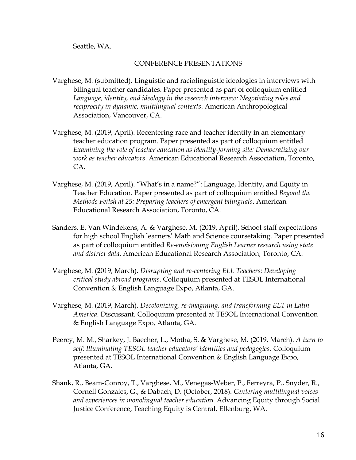Seattle, WA.

#### CONFERENCE PRESENTATIONS

- Varghese, M. (submitted). Linguistic and raciolinguistic ideologies in interviews with bilingual teacher candidates. Paper presented as part of colloquium entitled *Language, identity, and ideology in the research interview: Negotiating roles and reciprocity in dynamic, multilingual contexts*. American Anthropological Association, Vancouver, CA.
- Varghese, M. (2019, April). Recentering race and teacher identity in an elementary teacher education program. Paper presented as part of colloquium entitled *Examining the role of teacher education as identity-forming site: Democratizing our work as teacher educators*. American Educational Research Association, Toronto, CA.
- Varghese, M. (2019, April). "What's in a name?": Language, Identity, and Equity in Teacher Education. Paper presented as part of colloquium entitled *Beyond the Methods Feitsh at 25: Preparing teachers of emergent bilinguals*. American Educational Research Association, Toronto, CA.
- Sanders, E. Van Windekens, A. & Varghese, M. (2019, April). School staff expectations for high school English learners' Math and Science coursetaking. Paper presented as part of colloquium entitled *Re-envisioning English Learner research using state and district data*. American Educational Research Association, Toronto, CA.
- Varghese, M. (2019, March). *Disrupting and re-centering ELL Teachers: Developing critical study abroad programs*. Colloquium presented at TESOL International Convention & English Language Expo, Atlanta, GA.
- Varghese, M. (2019, March). *Decolonizing, re-imagining, and transforming ELT in Latin America*. Discussant. Colloquium presented at TESOL International Convention & English Language Expo, Atlanta, GA.
- Peercy, M. M., Sharkey, J. Baecher, L., Motha, S. & Varghese, M. (2019, March). *A turn to self: Illuminating TESOL teacher educators' identities and pedagogies.* Colloquium presented at TESOL International Convention & English Language Expo, Atlanta, GA.
- Shank, R., Beam-Conroy, T., Varghese, M., Venegas-Weber, P., Ferreyra, P., Snyder, R., Cornell Gonzales, G., & Dabach, D. (October, 2018). *Centering multilingual voices and experiences in monolingual teacher educatio*n. Advancing Equity through Social Justice Conference, Teaching Equity is Central, Ellenburg, WA.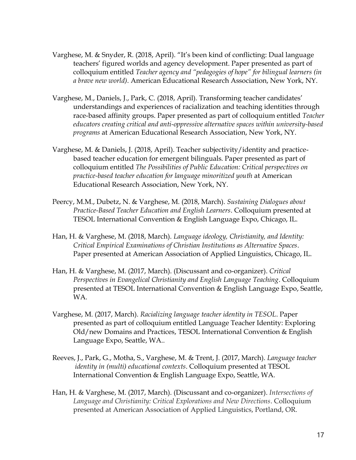- Varghese, M. & Snyder, R. (2018, April). "It's been kind of conflicting: Dual language teachers' figured worlds and agency development. Paper presented as part of colloquium entitled *Teacher agency and "pedagogies of hope" for bilingual learners (in a brave new world)*. American Educational Research Association, New York, NY.
- Varghese, M., Daniels, J., Park, C. (2018, April). Transforming teacher candidates' understandings and experiences of racialization and teaching identities through race-based affinity groups. Paper presented as part of colloquium entitled *Teacher educators creating critical and anti-oppressive alternative spaces within university-based programs* at American Educational Research Association, New York, NY.
- Varghese, M. & Daniels, J. (2018, April). Teacher subjectivity/identity and practicebased teacher education for emergent bilinguals. Paper presented as part of colloquium entitled *The Possibilities of Public Education: Critical perspectives on practice-based teacher education for language minoritized youth* at American Educational Research Association, New York, NY.
- Peercy, M.M., Dubetz, N. & Varghese, M. (2018, March). *Sustaining Dialogues about Practice-Based Teacher Education and English Learners*. Colloquium presented at TESOL International Convention & English Language Expo, Chicago, IL.
- Han, H. & Varghese, M. (2018, March). *Language ideology, Christianity, and Identity: Critical Empirical Examinations of Christian Institutions as Alternative Spaces*. Paper presented at American Association of Applied Linguistics, Chicago, IL.
- Han, H. & Varghese, M. (2017, March). (Discussant and co-organizer). *Critical Perspectives in Evangelical Christianity and English Language Teaching*. Colloquium presented at TESOL International Convention & English Language Expo, Seattle, WA.
- Varghese, M. (2017, March). *Racializing language teacher identity in TESOL*. Paper presented as part of colloquium entitled Language Teacher Identity: Exploring Old/new Domains and Practices, TESOL International Convention & English Language Expo, Seattle, WA..
- Reeves, J., Park, G., Motha, S., Varghese, M. & Trent, J. (2017, March). *Language teacher identity in (multi) educational contexts*. Colloquium presented at TESOL International Convention & English Language Expo, Seattle, WA.
- Han, H. & Varghese, M. (2017, March). (Discussant and co-organizer). *Intersections of Language and Christianity: Critical Explorations and New Directions*. Colloquium presented at American Association of Applied Linguistics, Portland, OR.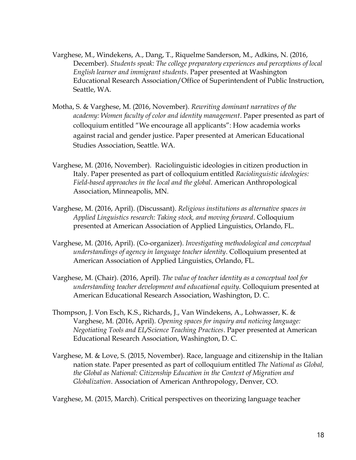- Varghese, M., Windekens, A., Dang, T., Riquelme Sanderson, M., Adkins, N. (2016, December). *Students speak: The college preparatory experiences and perceptions of local English learner and immigrant students*. Paper presented at Washington Educational Research Association/Office of Superintendent of Public Instruction, Seattle, WA.
- Motha, S. & Varghese, M. (2016, November). *Rewriting dominant narratives of the academy: Women faculty of color and identity management*. Paper presented as part of colloquium entitled "We encourage all applicants": How academia works against racial and gender justice. Paper presented at American Educational Studies Association, Seattle. WA.
- Varghese, M. (2016, November). Raciolinguistic ideologies in citizen production in Italy. Paper presented as part of colloquium entitled *Raciolinguistic ideologies: Field-based approaches in the local and the global*. American Anthropological Association, Minneapolis, MN.
- Varghese, M. (2016, April). (Discussant). *Religious institutions as alternative spaces in Applied Linguistics research: Taking stock, and moving forward*. Colloquium presented at American Association of Applied Linguistics, Orlando, FL.
- Varghese, M. (2016, April). (Co-organizer). *Investigating methodological and conceptual understandings of agency in language teacher identity*. Colloquium presented at American Association of Applied Linguistics, Orlando, FL.
- Varghese, M. (Chair). (2016, April). *The value of teacher identity as a conceptual tool for understanding teacher development and educational equity*. Colloquium presented at American Educational Research Association, Washington, D. C.
- Thompson, J. Von Esch, K.S., Richards, J., Van Windekens, A., Lohwasser, K. & Varghese, M. (2016, April). *Opening spaces for inquiry and noticing language: Negotiating Tools and EL/Science Teaching Practices*. Paper presented at American Educational Research Association, Washington, D. C.
- Varghese, M. & Love, S. (2015, November). Race, language and citizenship in the Italian nation state*.* Paper presented as part of colloquium entitled *The National as Global, the Global as National: Citizenship Education in the Context of Migration and Globalization*. Association of American Anthropology, Denver, CO.

Varghese, M. (2015, March). Critical perspectives on theorizing language teacher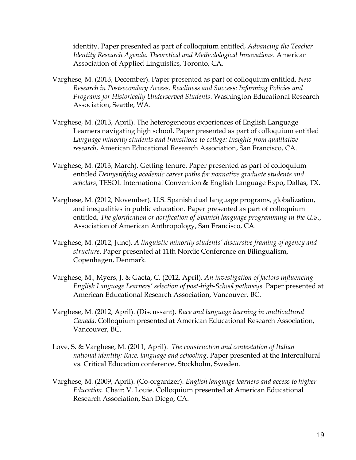identity. Paper presented as part of colloquium entitled, *Advancing the Teacher Identity Research Agenda: Theoretical and Methodological Innovations*. American Association of Applied Linguistics, Toronto, CA.

- Varghese, M. (2013, December). Paper presented as part of colloquium entitled, *New Research in Postsecondary Access, Readiness and Success: Informing Policies and Programs for Historically Underserved Students*. Washington Educational Research Association, Seattle, WA.
- Varghese, M. (2013, April). The heterogeneous experiences of English Language Learners navigating high school**.** Paper presented as part of colloquium entitled *Language minority students and transitions to college: Insights from qualitative research*, American Educational Research Association, San Francisco, CA.
- Varghese, M. (2013, March). Getting tenure. Paper presented as part of colloquium entitled *Demystifying academic career paths for nonnative graduate students and scholars*, TESOL International Convention & English Language Expo**,** Dallas, TX.
- Varghese, M. (2012, November). U.S. Spanish dual language programs, globalization, and inequalities in public education. Paper presented as part of colloquium entitled, *The glorification or dorification of Spanish language programming in the U.S.*, Association of American Anthropology, San Francisco, CA.
- Varghese, M. (2012, June). *A linguistic minority students' discursive framing of agency and structure*. Paper presented at 11th Nordic Conference on Bilingualism, Copenhagen, Denmark.
- Varghese, M., Myers, J. & Gaeta, C. (2012, April). *An investigation of factors influencing English Language Learners' selection of post-high-School pathways*. Paper presented at American Educational Research Association, Vancouver, BC.
- Varghese, M. (2012, April). (Discussant). *Race and language learning in multicultural Canada*. Colloquium presented at American Educational Research Association, Vancouver, BC.
- Love, S. & Varghese, M. (2011, April). *The construction and contestation of Italian national identity: Race, language and schooling*. Paper presented at the Intercultural vs. Critical Education conference, Stockholm, Sweden.
- Varghese, M. (2009, April). (Co-organizer). *English language learners and access to higher Education*. Chair: V. Louie. Colloquium presented at American Educational Research Association, San Diego, CA.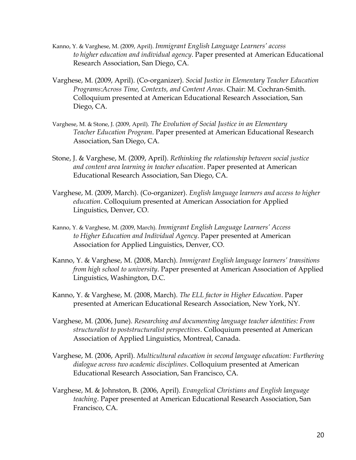- Kanno, Y. & Varghese, M. (2009, April). *Immigrant English Language Learners' access to higher education and individual agency*. Paper presented at American Educational Research Association, San Diego, CA.
- Varghese, M. (2009, April). (Co-organizer). *Social Justice in Elementary Teacher Education Programs:Across Time, Contexts, and Content Areas*. Chair: M. Cochran-Smith. Colloquium presented at American Educational Research Association, San Diego, CA.
- Varghese, M. & Stone, J. (2009, April). *The Evolution of Social Justice in an Elementary Teacher Education Program*. Paper presented at American Educational Research Association, San Diego, CA.
- Stone, J. & Varghese, M. (2009, April). *Rethinking the relationship between social justice and content area learning in teacher education*. Paper presented at American Educational Research Association, San Diego, CA.
- Varghese, M. (2009, March). (Co-organizer). *English language learners and access to higher education*. Colloquium presented at American Association for Applied Linguistics, Denver, CO.
- Kanno, Y. & Varghese, M. (2009, March). *Immigrant English Language Learners' Access to Higher Education and Individual Agency*. Paper presented at American Association for Applied Linguistics, Denver, CO.
- Kanno, Y. & Varghese, M. (2008, March). *Immigrant English language learners' transitions from high school to university*. Paper presented at American Association of Applied Linguistics, Washington, D.C.
- Kanno, Y. & Varghese, M. (2008, March). *The ELL factor in Higher Education*. Paper presented at American Educational Research Association, New York, NY.
- Varghese, M. (2006, June). *Researching and documenting language teacher identities: From structuralist to poststructuralist perspectives*. Colloquium presented at American Association of Applied Linguistics, Montreal, Canada.
- Varghese, M. (2006, April). *Multicultural education in second language education: Furthering dialogue across two academic disciplines*. Colloquium presented at American Educational Research Association, San Francisco, CA.
- Varghese, M. & Johnston, B. (2006, April). *Evangelical Christians and English language teaching*. Paper presented at American Educational Research Association, San Francisco, CA.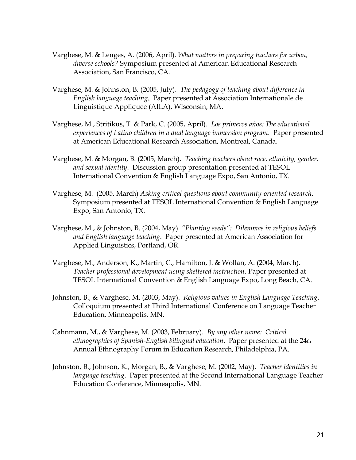- Varghese, M. & Lenges, A. (2006, April). *What matters in preparing teachers for urban, diverse schools?* Symposium presented at American Educational Research Association, San Francisco, CA.
- Varghese, M. & Johnston, B. (2005, July). *The pedagogy of teaching about difference in English language teaching*. Paper presented at Association Internationale de Linguistique Appliquee (AILA), Wisconsin, MA.
- Varghese, M., Stritikus, T. & Park, C. (2005, April). *Los primeros años: The educational experiences of Latino children in a dual language immersion program*. Paper presented at American Educational Research Association, Montreal, Canada.
- Varghese, M. & Morgan, B. (2005, March). *Teaching teachers about race, ethnicity, gender, and sexual identity*. Discussion group presentation presented at TESOL International Convention & English Language Expo, San Antonio, TX.
- Varghese, M. (2005, March) *Asking critical questions about community-oriented research*. Symposium presented at TESOL International Convention & English Language Expo, San Antonio, TX.
- Varghese, M., & Johnston, B. (2004, May). *"Planting seeds": Dilemmas in religious beliefs and English language teaching*. Paper presented at American Association for Applied Linguistics, Portland, OR.
- Varghese, M., Anderson, K., Martin, C., Hamilton, J. & Wollan, A. (2004, March). *Teacher professional development using sheltered instruction*. Paper presented at TESOL International Convention & English Language Expo, Long Beach, CA.
- Johnston, B., & Varghese, M. (2003, May). *Religious values in English Language Teaching*. Colloquium presented at Third International Conference on Language Teacher Education, Minneapolis, MN.
- Cahnmann, M., & Varghese, M. (2003, February). *By any other name: Critical ethnographies of Spanish-English bilingual education*. Paper presented at the 24th Annual Ethnography Forum in Education Research, Philadelphia, PA.
- Johnston, B., Johnson, K., Morgan, B., & Varghese, M. (2002, May). *Teacher identities in language teaching*. Paper presented at the Second International Language Teacher Education Conference, Minneapolis, MN.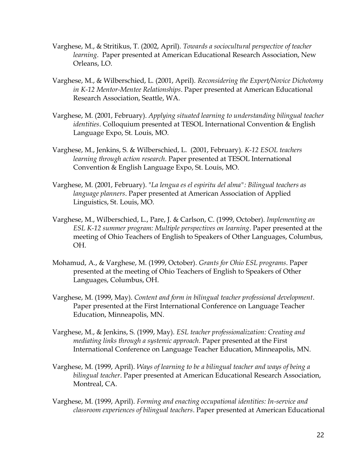- Varghese, M., & Stritikus, T. (2002, April). *Towards a sociocultural perspective of teacher learning*. Paper presented at American Educational Research Association, New Orleans, LO.
- Varghese, M., & Wilberschied, L. (2001, April). *Reconsidering the Expert/Novice Dichotomy in K-12 Mentor-Mentee Relationships*. Paper presented at American Educational Research Association, Seattle, WA.
- Varghese, M. (2001, February). *Applying situated learning to understanding bilingual teacher identities*. Colloquium presented at TESOL International Convention & English Language Expo, St. Louis, MO.
- Varghese, M., Jenkins, S. & Wilberschied, L. (2001, February). *K-12 ESOL teachers learning through action research*. Paper presented at TESOL International Convention & English Language Expo, St. Louis, MO.
- Varghese, M. (2001, February). "*La lengua es el espiritu del alma": Bilingual teachers as language planners*. Paper presented at American Association of Applied Linguistics, St. Louis, MO.
- Varghese, M., Wilberschied, L., Pare, J. & Carlson, C. (1999, October). *Implementing an ESL K-12 summer program: Multiple perspectives on learning*. Paper presented at the meeting of Ohio Teachers of English to Speakers of Other Languages, Columbus, OH.
- Mohamud, A., & Varghese, M. (1999, October). *Grants for Ohio ESL programs*. Paper presented at the meeting of Ohio Teachers of English to Speakers of Other Languages, Columbus, OH.
- Varghese, M. (1999, May). *Content and form in bilingual teacher professional development*. Paper presented at the First International Conference on Language Teacher Education, Minneapolis, MN.
- Varghese, M., & Jenkins, S. (1999, May). *ESL teacher professionalization: Creating and mediating links through a systemic approach*. Paper presented at the First International Conference on Language Teacher Education, Minneapolis, MN.
- Varghese, M. (1999, April). *Ways of learning to be a bilingual teacher and ways of being a bilingual teacher*. Paper presented at American Educational Research Association, Montreal, CA.
- Varghese, M. (1999, April). *Forming and enacting occupational identities: In-service and classroom experiences of bilingual teachers*. Paper presented at American Educational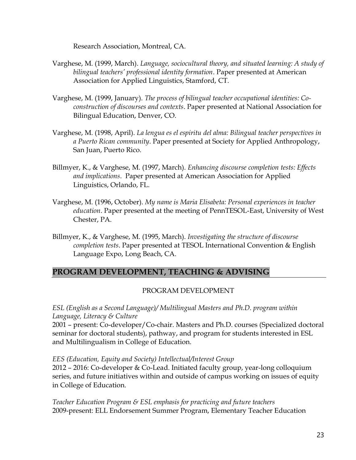Research Association, Montreal, CA.

- Varghese, M. (1999, March). *Language, sociocultural theory, and situated learning: A study of bilingual teachers' professional identity formation*. Paper presented at American Association for Applied Linguistics, Stamford, CT.
- Varghese, M. (1999, January). *The process of bilingual teacher occupational identities: Coconstruction of discourses and contexts*. Paper presented at National Association for Bilingual Education, Denver, CO.
- Varghese, M. (1998, April). *La lengua es el espiritu del alma: Bilingual teacher perspectives in a Puerto Rican community*. Paper presented at Society for Applied Anthropology, San Juan, Puerto Rico.
- Billmyer, K., & Varghese, M. (1997, March). *Enhancing discourse completion tests: Effects and implications*. Paper presented at American Association for Applied Linguistics, Orlando, FL.
- Varghese, M. (1996, October). *My name is Maria Elisabeta: Personal experiences in teacher education*. Paper presented at the meeting of PennTESOL-East, University of West Chester, PA.
- Billmyer, K., & Varghese, M. (1995, March). *Investigating the structure of discourse completion tests*. Paper presented at TESOL International Convention & English Language Expo, Long Beach, CA.

# **PROGRAM DEVELOPMENT, TEACHING & ADVISING**

# PROGRAM DEVELOPMENT

*ESL (English as a Second Language)/ Multilingual Masters and Ph.D. program within Language, Literacy & Culture* 

2001 – present: Co-developer/Co-chair. Masters and Ph.D. courses (Specialized doctoral seminar for doctoral students), pathway, and program for students interested in ESL and Multilingualism in College of Education.

#### *EES (Education, Equity and Society) Intellectual/Interest Group*

2012 – 2016: Co-developer & Co-Lead. Initiated faculty group, year-long colloquium series, and future initiatives within and outside of campus working on issues of equity in College of Education.

*Teacher Education Program & ESL emphasis for practicing and future teachers* 2009-present: ELL Endorsement Summer Program, Elementary Teacher Education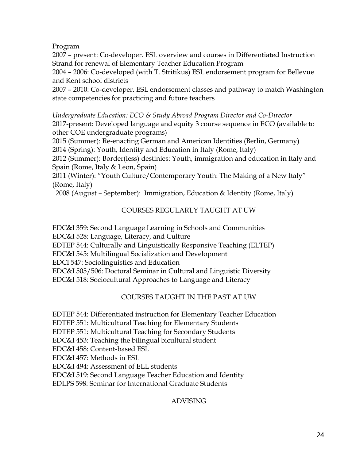Program

2007 – present: Co-developer. ESL overview and courses in Differentiated Instruction Strand for renewal of Elementary Teacher Education Program

2004 – 2006: Co-developed (with T. Stritikus) ESL endorsement program for Bellevue and Kent school districts

2007 – 2010: Co-developer. ESL endorsement classes and pathway to match Washington state competencies for practicing and future teachers

*Undergraduate Education: ECO & Study Abroad Program Director and Co-Director* 2017-present: Developed language and equity 3 course sequence in ECO (available to other COE undergraduate programs)

2015 (Summer): Re-enacting German and American Identities (Berlin, Germany) 2014 (Spring): Youth, Identity and Education in Italy (Rome, Italy)

2012 (Summer): Border(less) destinies: Youth, immigration and education in Italy and Spain (Rome, Italy & Leon, Spain)

2011 (Winter): "Youth Culture/Contemporary Youth: The Making of a New Italy" (Rome, Italy)

2008 (August – September): Immigration, Education & Identity (Rome, Italy)

# COURSES REGULARLY TAUGHT AT UW

EDC&I 359: Second Language Learning in Schools and Communities EDC&I 528: Language, Literacy, and Culture EDTEP 544: Culturally and Linguistically Responsive Teaching (ELTEP) EDC&I 545: Multilingual Socialization and Development EDCI 547: Sociolinguistics and Education EDC&I 505/506: Doctoral Seminar in Cultural and Linguistic Diversity EDC&I 518: Sociocultural Approaches to Language and Literacy

# COURSES TAUGHT IN THE PAST AT UW

EDTEP 544: Differentiated instruction for Elementary Teacher Education

EDTEP 551: Multicultural Teaching for Elementary Students

EDTEP 551: Multicultural Teaching for Secondary Students

EDC&I 453: Teaching the bilingual bicultural student

EDC&I 458: Content-based ESL

EDC&I 457: Methods in ESL

EDC&I 494: Assessment of ELL students

EDC&I 519: Second Language Teacher Education and Identity

EDLPS 598: Seminar for International Graduate Students

# ADVISING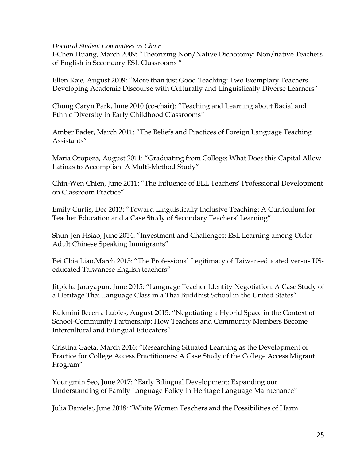#### *Doctoral Student Committees as Chair*

I-Chen Huang, March 2009: "Theorizing Non/Native Dichotomy: Non/native Teachers of English in Secondary ESL Classrooms "

Ellen Kaje, August 2009: "More than just Good Teaching: Two Exemplary Teachers Developing Academic Discourse with Culturally and Linguistically Diverse Learners"

Chung Caryn Park, June 2010 (co-chair): "Teaching and Learning about Racial and Ethnic Diversity in Early Childhood Classrooms"

Amber Bader, March 2011: "The Beliefs and Practices of Foreign Language Teaching Assistants"

Maria Oropeza, August 2011: "Graduating from College: What Does this Capital Allow Latinas to Accomplish: A Multi-Method Study"

Chin-Wen Chien, June 2011: "The Influence of ELL Teachers' Professional Development on Classroom Practice"

Emily Curtis, Dec 2013: "Toward Linguistically Inclusive Teaching: A Curriculum for Teacher Education and a Case Study of Secondary Teachers' Learning"

Shun-Jen Hsiao, June 2014: "Investment and Challenges: ESL Learning among Older Adult Chinese Speaking Immigrants"

Pei Chia Liao,March 2015: "The Professional Legitimacy of Taiwan-educated versus USeducated Taiwanese English teachers"

Jitpicha Jarayapun, June 2015: "Language Teacher Identity Negotiation: A Case Study of a Heritage Thai Language Class in a Thai Buddhist School in the United States"

Rukmini Becerra Lubies, August 2015: "Negotiating a Hybrid Space in the Context of School-Community Partnership: How Teachers and Community Members Become Intercultural and Bilingual Educators"

Cristina Gaeta, March 2016: "Researching Situated Learning as the Development of Practice for College Access Practitioners: A Case Study of the College Access Migrant Program"

Youngmin Seo, June 2017: "Early Bilingual Development: Expanding our Understanding of Family Language Policy in Heritage Language Maintenance"

Julia Daniels:, June 2018: "White Women Teachers and the Possibilities of Harm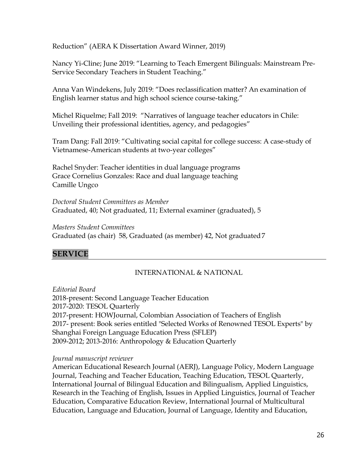Reduction" (AERA K Dissertation Award Winner, 2019)

Nancy Yi-Cline; June 2019: "Learning to Teach Emergent Bilinguals: Mainstream Pre-Service Secondary Teachers in Student Teaching."

Anna Van Windekens, July 2019: "Does reclassification matter? An examination of English learner status and high school science course-taking."

Michel Riquelme; Fall 2019: "Narratives of language teacher educators in Chile: Unveiling their professional identities, agency, and pedagogies"

Tram Dang: Fall 2019: "Cultivating social capital for college success: A case-study of Vietnamese-American students at two-year colleges"

Rachel Snyder: Teacher identities in dual language programs Grace Cornelius Gonzales: Race and dual language teaching Camille Ungco

*Doctoral Student Committees as Member* Graduated, 40; Not graduated, 11; External examiner (graduated), 5

*Masters Student Committees*  Graduated (as chair) 58, Graduated (as member) 42, Not graduated7

# **SERVICE**

# INTERNATIONAL & NATIONAL

*Editorial Board* 2018-present: Second Language Teacher Education 2017-2020: TESOL Quarterly 2017-present: HOWJournal, Colombian Association of Teachers of English 2017- present: Book series entitled "Selected Works of Renowned TESOL Experts" by Shanghai Foreign Language Education Press (SFLEP) 2009-2012; 2013-2016: Anthropology & Education Quarterly

*Journal manuscript reviewer*

American Educational Research Journal (AERJ), Language Policy, Modern Language Journal, Teaching and Teacher Education, Teaching Education, TESOL Quarterly, International Journal of Bilingual Education and Bilingualism, Applied Linguistics, Research in the Teaching of English, Issues in Applied Linguistics, Journal of Teacher Education, Comparative Education Review, International Journal of Multicultural Education, Language and Education, Journal of Language, Identity and Education,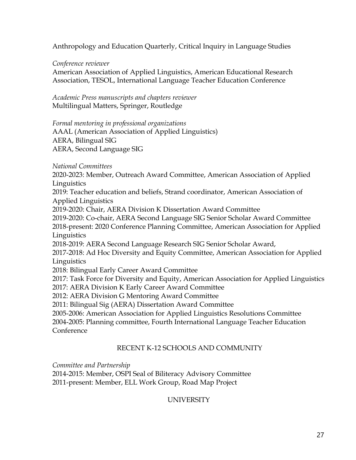Anthropology and Education Quarterly, Critical Inquiry in Language Studies

*Conference reviewer*

American Association of Applied Linguistics, American Educational Research Association, TESOL, International Language Teacher Education Conference

*Academic Press manuscripts and chapters reviewer* Multilingual Matters, Springer, Routledge

*Formal mentoring in professional organizations* AAAL (American Association of Applied Linguistics) AERA, Bilingual SIG AERA, Second Language SIG

*National Committees*

2020-2023: Member, Outreach Award Committee, American Association of Applied **Linguistics** 

2019: Teacher education and beliefs, Strand coordinator, American Association of Applied Linguistics

2019-2020: Chair, AERA Division K Dissertation Award Committee

2019-2020: Co-chair, AERA Second Language SIG Senior Scholar Award Committee 2018-present: 2020 Conference Planning Committee, American Association for Applied **Linguistics** 

2018-2019: AERA Second Language Research SIG Senior Scholar Award,

2017-2018: Ad Hoc Diversity and Equity Committee, American Association for Applied Linguistics

2018: Bilingual Early Career Award Committee

2017: Task Force for Diversity and Equity, American Association for Applied Linguistics

2017: AERA Division K Early Career Award Committee

2012: AERA Division G Mentoring Award Committee

2011: Bilingual Sig (AERA) Dissertation Award Committee

2005-2006: American Association for Applied Linguistics Resolutions Committee

2004-2005: Planning committee, Fourth International Language Teacher Education Conference

# RECENT K-12 SCHOOLS AND COMMUNITY

*Committee and Partnership*

2014-2015: Member, OSPI Seal of Biliteracy Advisory Committee 2011-present: Member, ELL Work Group, Road Map Project

# UNIVERSITY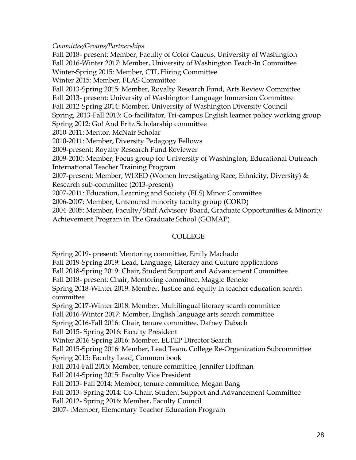#### *Committee/Groups/Partnerships*

Fall 2018- present: Member, Faculty of Color Caucus, University of Washington Fall 2016-Winter 2017: Member, University of Washington Teach-In Committee Winter-Spring 2015: Member, CTL Hiring Committee Winter 2015: Member, FLAS Committee Fall 2013-Spring 2015: Member, Royalty Research Fund, Arts Review Committee Fall 2013- present: University of Washington Language Immersion Committee Fall 2012-Spring 2014: Member, University of Washington Diversity Council Spring, 2013-Fall 2013: Co-facilitator, Tri-campus English learner policy working group Spring 2012: Go! And Fritz Scholarship committee 2010-2011: Mentor, McNair Scholar 2010-2011: Member, Diversity Pedagogy Fellows 2009-present: Royalty Research Fund Reviewer 2009-2010: Member, Focus group for University of Washington, Educational Outreach International Teacher Training Program 2007-present: Member, WIRED (Women Investigating Race, Ethnicity, Diversity) & Research sub-committee (2013-present) 2007-2011: Education, Learning and Society (ELS) Minor Committee 2006-2007: Member, Untenured minority faculty group (CORD) 2004-2005: Member, Faculty/Staff Advisory Board, Graduate Opportunities & Minority Achievement Program in The Graduate School (GOMAP)

# COLLEGE

Spring 2019- present: Mentoring committee, Emily Machado

Fall 2019-Spring 2019: Lead, Language, Literacy and Culture applications

Fall 2018-Spring 2019: Chair, Student Support and Advancement Committee

Fall 2018- present: Chair, Mentoring committee, Maggie Beneke

Spring 2018-Winter 2019: Member, Justice and equity in teacher education search committee

Spring 2017-Winter 2018: Member, Multilingual literacy search committee

Fall 2016-Winter 2017: Member, English language arts search committee

Spring 2016-Fall 2016: Chair, tenure committee, Dafney Dabach

Fall 2015- Spring 2016: Faculty President

Winter 2016-Spring 2016: Member, ELTEP Director Search

Fall 2015-Spring 2016: Member, Lead Team, College Re-Organization Subcommittee

Spring 2015: Faculty Lead, Common book

Fall 2014-Fall 2015: Member, tenure committee, Jennifer Hoffman

Fall 2014-Spring 2015: Faculty Vice President

Fall 2013- Fall 2014: Member, tenure committee, Megan Bang

Fall 2013- Spring 2014: Co-Chair, Student Support and Advancement Committee

Fall 2012- Spring 2016: Member, Faculty Council

2007- :Member, Elementary Teacher Education Program